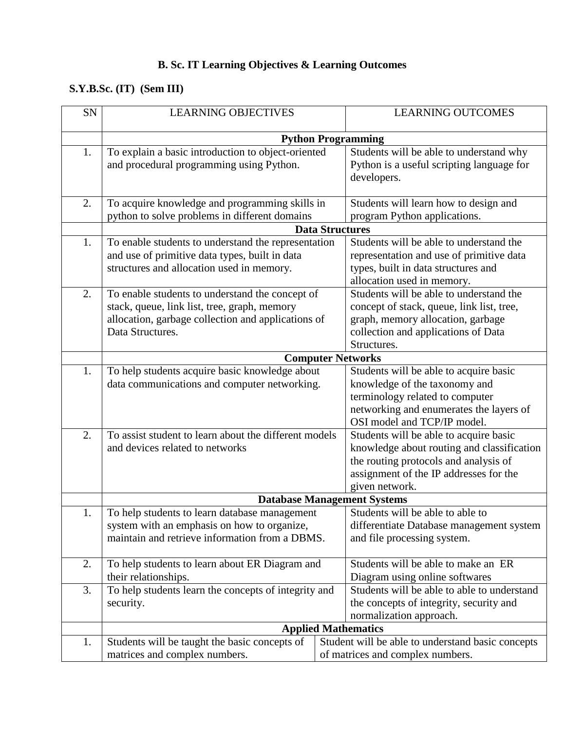## **B. Sc. IT Learning Objectives & Learning Outcomes**

## **S.Y.B.Sc. (IT) (Sem III)**

| <b>SN</b> | <b>LEARNING OBJECTIVES</b>                            | <b>LEARNING OUTCOMES</b>                                                      |
|-----------|-------------------------------------------------------|-------------------------------------------------------------------------------|
|           |                                                       |                                                                               |
|           |                                                       | <b>Python Programming</b>                                                     |
| 1.        | To explain a basic introduction to object-oriented    | Students will be able to understand why                                       |
|           | and procedural programming using Python.              | Python is a useful scripting language for                                     |
|           |                                                       | developers.                                                                   |
| 2.        | To acquire knowledge and programming skills in        | Students will learn how to design and                                         |
|           | python to solve problems in different domains         | program Python applications.                                                  |
|           |                                                       | <b>Data Structures</b>                                                        |
| 1.        | To enable students to understand the representation   | Students will be able to understand the                                       |
|           | and use of primitive data types, built in data        | representation and use of primitive data                                      |
|           | structures and allocation used in memory.             | types, built in data structures and                                           |
|           |                                                       | allocation used in memory.                                                    |
| 2.        | To enable students to understand the concept of       | Students will be able to understand the                                       |
|           | stack, queue, link list, tree, graph, memory          | concept of stack, queue, link list, tree,                                     |
|           | allocation, garbage collection and applications of    | graph, memory allocation, garbage                                             |
|           | Data Structures.                                      | collection and applications of Data                                           |
|           |                                                       | Structures.                                                                   |
|           |                                                       | <b>Computer Networks</b>                                                      |
| 1.        | To help students acquire basic knowledge about        | Students will be able to acquire basic                                        |
|           | data communications and computer networking.          | knowledge of the taxonomy and                                                 |
|           |                                                       | terminology related to computer                                               |
|           |                                                       | networking and enumerates the layers of                                       |
|           |                                                       | OSI model and TCP/IP model.                                                   |
| 2.        | To assist student to learn about the different models | Students will be able to acquire basic                                        |
|           | and devices related to networks                       | knowledge about routing and classification                                    |
|           |                                                       | the routing protocols and analysis of                                         |
|           |                                                       | assignment of the IP addresses for the                                        |
|           |                                                       | given network.                                                                |
|           |                                                       | <b>Database Management Systems</b>                                            |
|           | To help students to learn database management         | Students will be able to able to                                              |
|           | system with an emphasis on how to organize,           | differentiate Database management system                                      |
|           | maintain and retrieve information from a DBMS.        | and file processing system.                                                   |
| 2.        | To help students to learn about ER Diagram and        | Students will be able to make an ER                                           |
|           |                                                       |                                                                               |
| 3.        | their relationships.                                  | Diagram using online softwares<br>Students will be able to able to understand |
|           | To help students learn the concepts of integrity and  |                                                                               |
|           | security.                                             | the concepts of integrity, security and                                       |
|           |                                                       | normalization approach.                                                       |
|           |                                                       | <b>Applied Mathematics</b>                                                    |
| 1.        | Students will be taught the basic concepts of         | Student will be able to understand basic concepts                             |
|           | matrices and complex numbers.                         | of matrices and complex numbers.                                              |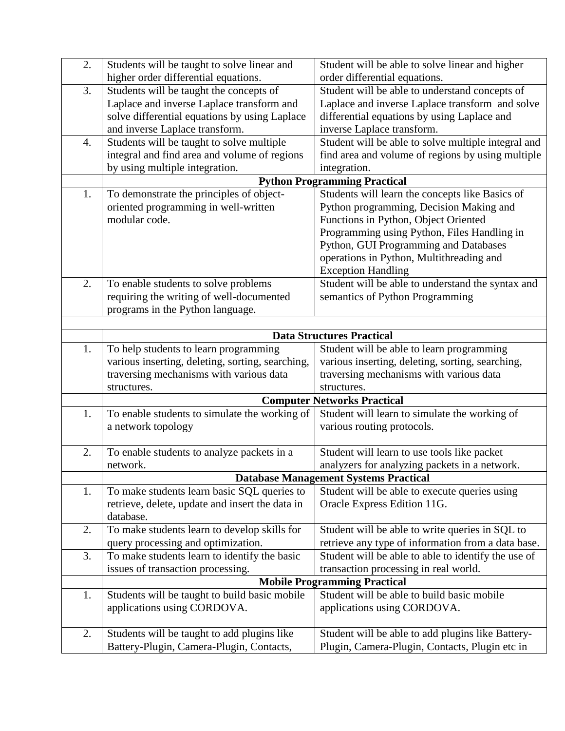| 2. | Students will be taught to solve linear and      | Student will be able to solve linear and higher     |
|----|--------------------------------------------------|-----------------------------------------------------|
|    | higher order differential equations.             | order differential equations.                       |
| 3. | Students will be taught the concepts of          | Student will be able to understand concepts of      |
|    | Laplace and inverse Laplace transform and        | Laplace and inverse Laplace transform and solve     |
|    | solve differential equations by using Laplace    | differential equations by using Laplace and         |
|    | and inverse Laplace transform.                   | inverse Laplace transform.                          |
| 4. | Students will be taught to solve multiple        | Student will be able to solve multiple integral and |
|    | integral and find area and volume of regions     | find area and volume of regions by using multiple   |
|    | by using multiple integration.                   | integration.                                        |
|    |                                                  | <b>Python Programming Practical</b>                 |
| 1. | To demonstrate the principles of object-         | Students will learn the concepts like Basics of     |
|    | oriented programming in well-written             | Python programming, Decision Making and             |
|    | modular code.                                    | Functions in Python, Object Oriented                |
|    |                                                  | Programming using Python, Files Handling in         |
|    |                                                  | Python, GUI Programming and Databases               |
|    |                                                  | operations in Python, Multithreading and            |
|    |                                                  | <b>Exception Handling</b>                           |
| 2. | To enable students to solve problems             | Student will be able to understand the syntax and   |
|    | requiring the writing of well-documented         | semantics of Python Programming                     |
|    | programs in the Python language.                 |                                                     |
|    |                                                  |                                                     |
|    |                                                  | <b>Data Structures Practical</b>                    |
| 1. | To help students to learn programming            | Student will be able to learn programming           |
|    | various inserting, deleting, sorting, searching, | various inserting, deleting, sorting, searching,    |
|    | traversing mechanisms with various data          | traversing mechanisms with various data             |
|    | structures.                                      | structures.                                         |
|    |                                                  | <b>Computer Networks Practical</b>                  |
| 1. | To enable students to simulate the working of    | Student will learn to simulate the working of       |
|    | a network topology                               | various routing protocols.                          |
|    |                                                  |                                                     |
| 2. | To enable students to analyze packets in a       | Student will learn to use tools like packet         |
|    | network.                                         | analyzers for analyzing packets in a network.       |
|    |                                                  | <b>Database Management Systems Practical</b>        |
| 1. | To make students learn basic SQL queries to      | Student will be able to execute queries using       |
|    | retrieve, delete, update and insert the data in  | Oracle Express Edition 11G.                         |
|    | database.                                        |                                                     |
| 2. | To make students learn to develop skills for     | Student will be able to write queries in SQL to     |
|    | query processing and optimization.               | retrieve any type of information from a data base.  |
| 3. | To make students learn to identify the basic     | Student will be able to able to identify the use of |
|    | issues of transaction processing.                | transaction processing in real world.               |
|    |                                                  | <b>Mobile Programming Practical</b>                 |
| 1. | Students will be taught to build basic mobile    | Student will be able to build basic mobile          |
|    | applications using CORDOVA.                      | applications using CORDOVA.                         |
|    |                                                  |                                                     |
| 2. | Students will be taught to add plugins like      | Student will be able to add plugins like Battery-   |
|    | Battery-Plugin, Camera-Plugin, Contacts,         | Plugin, Camera-Plugin, Contacts, Plugin etc in      |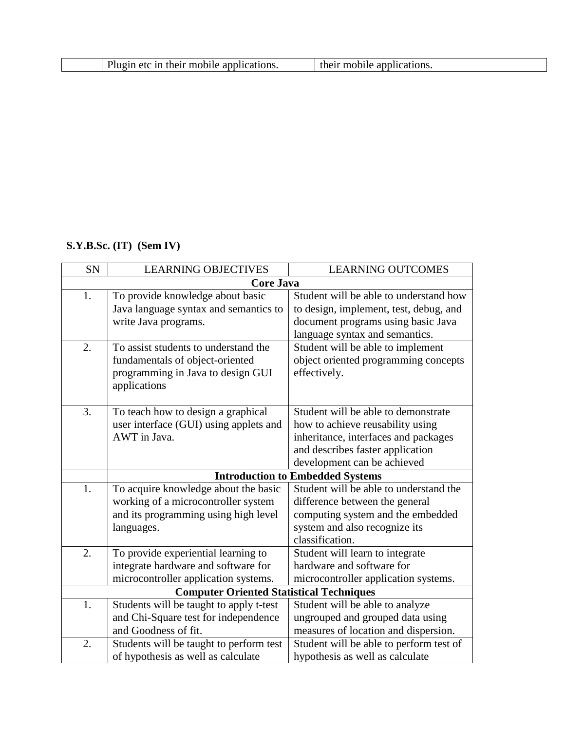| Plugin etc in their mobile applications.<br>their mobile applications. |  |
|------------------------------------------------------------------------|--|
|------------------------------------------------------------------------|--|

## **S.Y.B.Sc. (IT) (Sem IV)**

| <b>SN</b> | <b>LEARNING OBJECTIVES</b>                      | <b>LEARNING OUTCOMES</b>                |
|-----------|-------------------------------------------------|-----------------------------------------|
|           | <b>Core Java</b>                                |                                         |
| 1.        | To provide knowledge about basic                | Student will be able to understand how  |
|           | Java language syntax and semantics to           | to design, implement, test, debug, and  |
|           | write Java programs.                            | document programs using basic Java      |
|           |                                                 | language syntax and semantics.          |
| 2.        | To assist students to understand the            | Student will be able to implement       |
|           | fundamentals of object-oriented                 | object oriented programming concepts    |
|           | programming in Java to design GUI               | effectively.                            |
|           | applications                                    |                                         |
|           |                                                 |                                         |
| 3.        | To teach how to design a graphical              | Student will be able to demonstrate     |
|           | user interface (GUI) using applets and          | how to achieve reusability using        |
|           | AWT in Java.                                    | inheritance, interfaces and packages    |
|           |                                                 | and describes faster application        |
|           |                                                 | development can be achieved             |
|           |                                                 | <b>Introduction to Embedded Systems</b> |
| 1.        | To acquire knowledge about the basic            | Student will be able to understand the  |
|           | working of a microcontroller system             | difference between the general          |
|           | and its programming using high level            | computing system and the embedded       |
|           | languages.                                      | system and also recognize its           |
|           |                                                 | classification.                         |
| 2.        | To provide experiential learning to             | Student will learn to integrate         |
|           | integrate hardware and software for             | hardware and software for               |
|           | microcontroller application systems.            | microcontroller application systems.    |
|           | <b>Computer Oriented Statistical Techniques</b> |                                         |
| 1.        | Students will be taught to apply t-test         | Student will be able to analyze         |
|           | and Chi-Square test for independence            | ungrouped and grouped data using        |
|           | and Goodness of fit.                            | measures of location and dispersion.    |
| 2.        | Students will be taught to perform test         | Student will be able to perform test of |
|           | of hypothesis as well as calculate              | hypothesis as well as calculate         |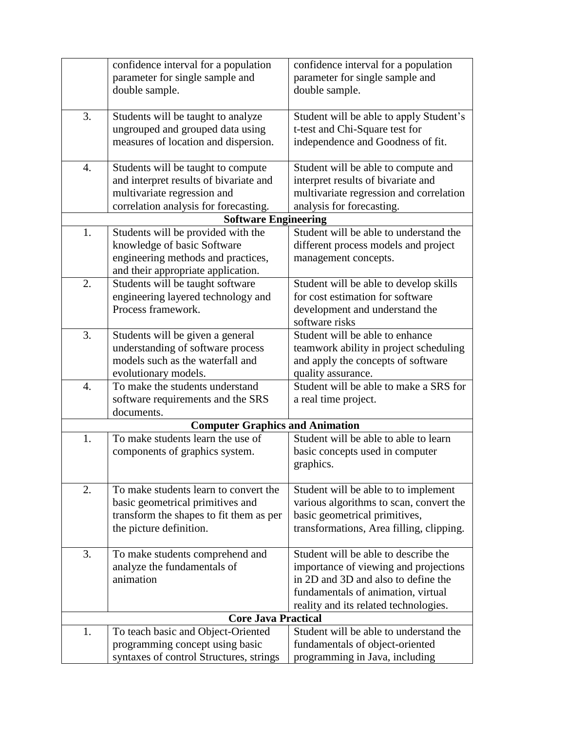|                  | confidence interval for a population    | confidence interval for a population     |
|------------------|-----------------------------------------|------------------------------------------|
|                  | parameter for single sample and         | parameter for single sample and          |
|                  | double sample.                          | double sample.                           |
|                  |                                         |                                          |
| 3.               | Students will be taught to analyze      | Student will be able to apply Student's  |
|                  | ungrouped and grouped data using        | t-test and Chi-Square test for           |
|                  | measures of location and dispersion.    | independence and Goodness of fit.        |
|                  |                                         |                                          |
| 4.               | Students will be taught to compute      | Student will be able to compute and      |
|                  | and interpret results of bivariate and  | interpret results of bivariate and       |
|                  | multivariate regression and             | multivariate regression and correlation  |
|                  | correlation analysis for forecasting.   | analysis for forecasting.                |
|                  | <b>Software Engineering</b>             |                                          |
| 1.               | Students will be provided with the      | Student will be able to understand the   |
|                  | knowledge of basic Software             | different process models and project     |
|                  | engineering methods and practices,      | management concepts.                     |
|                  | and their appropriate application.      |                                          |
| 2.               | Students will be taught software        | Student will be able to develop skills   |
|                  | engineering layered technology and      | for cost estimation for software         |
|                  | Process framework.                      | development and understand the           |
|                  |                                         | software risks                           |
| 3.               | Students will be given a general        | Student will be able to enhance          |
|                  | understanding of software process       | teamwork ability in project scheduling   |
|                  | models such as the waterfall and        | and apply the concepts of software       |
|                  | evolutionary models.                    | quality assurance.                       |
| $\overline{4}$ . | To make the students understand         | Student will be able to make a SRS for   |
|                  | software requirements and the SRS       | a real time project.                     |
|                  | documents.                              |                                          |
|                  | <b>Computer Graphics and Animation</b>  |                                          |
| 1.               | To make students learn the use of       | Student will be able to able to learn    |
|                  | components of graphics system.          | basic concepts used in computer          |
|                  |                                         | graphics.                                |
|                  |                                         |                                          |
| 2.               | To make students learn to convert the   | Student will be able to to implement     |
|                  | basic geometrical primitives and        | various algorithms to scan, convert the  |
|                  | transform the shapes to fit them as per | basic geometrical primitives,            |
|                  | the picture definition.                 | transformations, Area filling, clipping. |
| 3.               | To make students comprehend and         | Student will be able to describe the     |
|                  | analyze the fundamentals of             | importance of viewing and projections    |
|                  | animation                               | in 2D and 3D and also to define the      |
|                  |                                         |                                          |
|                  |                                         | fundamentals of animation, virtual       |
|                  |                                         | reality and its related technologies.    |
| 1.               | <b>Core Java Practical</b>              | Student will be able to understand the   |
|                  | To teach basic and Object-Oriented      |                                          |
|                  | programming concept using basic         | fundamentals of object-oriented          |
|                  | syntaxes of control Structures, strings | programming in Java, including           |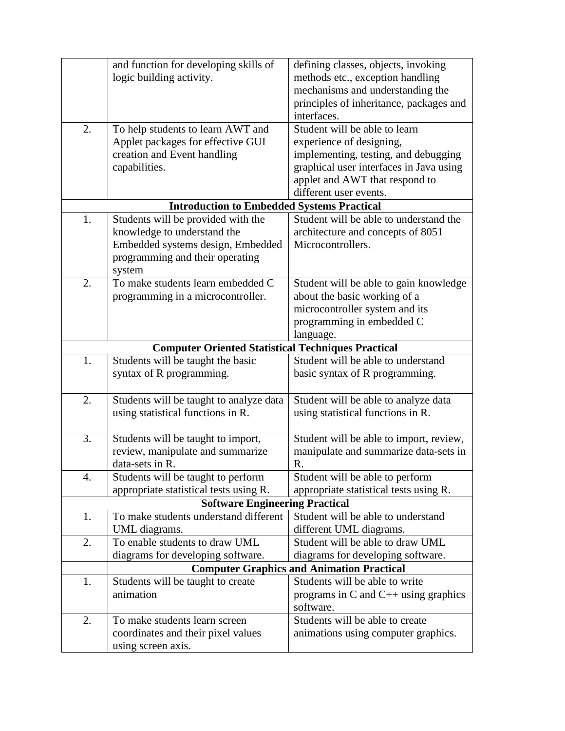|    | and function for developing skills of                     | defining classes, objects, invoking              |
|----|-----------------------------------------------------------|--------------------------------------------------|
|    | logic building activity.                                  | methods etc., exception handling                 |
|    |                                                           | mechanisms and understanding the                 |
|    |                                                           | principles of inheritance, packages and          |
|    |                                                           | interfaces.                                      |
| 2. | To help students to learn AWT and                         | Student will be able to learn                    |
|    | Applet packages for effective GUI                         | experience of designing,                         |
|    | creation and Event handling                               | implementing, testing, and debugging             |
|    | capabilities.                                             | graphical user interfaces in Java using          |
|    |                                                           | applet and AWT that respond to                   |
|    |                                                           | different user events.                           |
|    | <b>Introduction to Embedded Systems Practical</b>         |                                                  |
| 1. | Students will be provided with the                        | Student will be able to understand the           |
|    | knowledge to understand the                               | architecture and concepts of 8051                |
|    | Embedded systems design, Embedded                         | Microcontrollers.                                |
|    | programming and their operating                           |                                                  |
|    | system                                                    |                                                  |
| 2. | To make students learn embedded C                         | Student will be able to gain knowledge           |
|    | programming in a microcontroller.                         | about the basic working of a                     |
|    |                                                           | microcontroller system and its                   |
|    |                                                           | programming in embedded C                        |
|    |                                                           | language.                                        |
|    | <b>Computer Oriented Statistical Techniques Practical</b> |                                                  |
| 1. | Students will be taught the basic                         | Student will be able to understand               |
|    | syntax of R programming.                                  | basic syntax of R programming.                   |
|    |                                                           |                                                  |
| 2. | Students will be taught to analyze data                   | Student will be able to analyze data             |
|    | using statistical functions in R.                         | using statistical functions in R.                |
|    |                                                           |                                                  |
| 3. | Students will be taught to import,                        | Student will be able to import, review,          |
|    | review, manipulate and summarize                          | manipulate and summarize data-sets in            |
|    | data-sets in R.                                           | R.                                               |
| 4. | Students will be taught to perform                        | Student will be able to perform                  |
|    | appropriate statistical tests using R.                    | appropriate statistical tests using R.           |
|    | <b>Software Engineering Practical</b>                     |                                                  |
| 1. | To make students understand different                     | Student will be able to understand               |
|    | UML diagrams.                                             | different UML diagrams.                          |
| 2. | To enable students to draw UML                            | Student will be able to draw UML                 |
|    | diagrams for developing software.                         | diagrams for developing software.                |
|    |                                                           | <b>Computer Graphics and Animation Practical</b> |
| 1. | Students will be taught to create                         | Students will be able to write                   |
|    | animation                                                 | programs in C and $C++$ using graphics           |
|    |                                                           | software.                                        |
| 2. | To make students learn screen                             | Students will be able to create                  |
|    |                                                           |                                                  |
|    | coordinates and their pixel values                        | animations using computer graphics.              |
|    | using screen axis.                                        |                                                  |